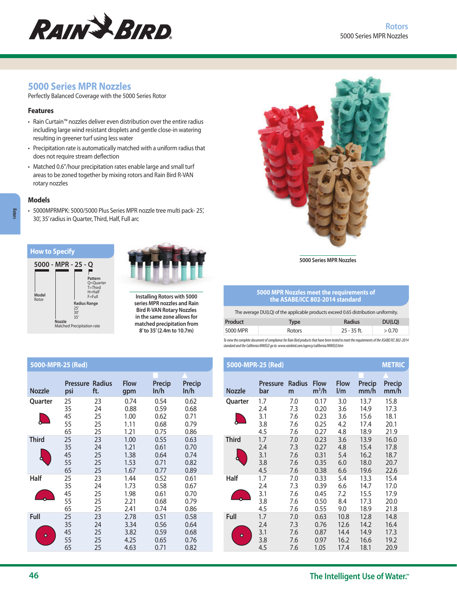

# **5000 Series MPR Nozzles**

Perfectly Balanced Coverage with the 5000 Series Rotor

### **Features**

- Rain Curtain™ nozzles deliver even distribution over the entire radius including large wind resistant droplets and gentle close-in watering resulting in greener turf using less water
- Precipitation rate is automatically matched with a uniform radius that does not require stream deflection
- Matched 0.6"/hour precipitation rates enable large and small turf areas to be zoned together by mixing rotors and Rain Bird R-VAN rotary nozzles

### **Models**

**Rotors**

• 5000MPRMPK: 5000/5000 Plus Series MPR nozzle tree multi pack- 25', 30', 35' radius in Quarter, Third, Half, Full arc







**Installing Rotors with 5000 series MPR nozzles and Rain Bird R-VAN Rotary Nozzles in the same zone allows for matched precipitation from 8' to 35' (2.4m to 10.7m)**



**5000 Series MPR Nozzles**

#### **5000 MPR Nozzles meet the requirements of the ASABE/ICC 802-2014 standard**

The average DU(LQ) of the applicable products exceed 0.65 distribution uniformity.

| Product  | Type   | <b>Radius</b> | DU(LO) |
|----------|--------|---------------|--------|
| 5000 MPR | Rotors | $25 - 35$ ft. | > 0.70 |

*To view the complete document of compliance for Rain Bird products that have been tested to meet the requirements of the ASABE/ICC 802-2014 standard and the California MWELO go to: www.rainbird.com/agency/california/MWELO.htm*

| 5000-MPR-25 (Red)  |                               |                            |                                      |                                      |                                      |                   | 5000-MPR-25 (Red)               |                                 |                                      |                                        |                                      | <b>METRIC</b>                        |
|--------------------|-------------------------------|----------------------------|--------------------------------------|--------------------------------------|--------------------------------------|-------------------|---------------------------------|---------------------------------|--------------------------------------|----------------------------------------|--------------------------------------|--------------------------------------|
| <b>Nozzle</b>      | <b>Pressure Radius</b><br>psi | ft.                        | <b>Flow</b><br>gpm                   | Precip<br>ln/h                       | Precip<br>ln/h                       | <b>Nozzle</b>     | <b>Pressure</b><br>bar          | Radius<br>m                     | <b>Flow</b><br>$m^3/h$               | <b>Flow</b><br>$\mathsf{l}/\mathsf{m}$ | Precip<br>mm/h                       | Precip<br>mm/h                       |
| Quarter            | 25<br>35<br>45<br>55<br>65    | 23<br>24<br>25<br>25<br>25 | 0.74<br>0.88<br>1.00<br>1.11<br>1.21 | 0.54<br>0.59<br>0.62<br>0.68<br>0.75 | 0.62<br>0.68<br>0.71<br>0.79<br>0.86 | Quarter           | 1.7<br>2.4<br>3.1<br>3.8<br>4.5 | 7.0<br>7.3<br>7.6<br>7.6<br>7.6 | 0.17<br>0.20<br>0.23<br>0.25<br>0.27 | 3.0<br>3.6<br>3.6<br>4.2<br>4.8        | 13.7<br>14.9<br>15.6<br>17.4<br>18.9 | 15.8<br>17.3<br>18.1<br>20.1<br>21.9 |
| <b>Third</b><br>ä. | 25<br>35<br>45<br>55<br>65    | 23<br>24<br>25<br>25<br>25 | 1.00<br>1.21<br>1.38<br>1.53<br>1.67 | 0.55<br>0.61<br>0.64<br>0.71<br>0.77 | 0.63<br>0.70<br>0.74<br>0.82<br>0.89 | <b>Third</b>      | 1.7<br>2.4<br>3.1<br>3.8<br>4.5 | 7.0<br>7.3<br>7.6<br>7.6<br>7.6 | 0.23<br>0.27<br>0.31<br>0.35<br>0.38 | 3.6<br>4.8<br>5.4<br>6.0<br>6.6        | 13.9<br>15.4<br>16.2<br>18.0<br>19.6 | 16.0<br>17.8<br>18.7<br>20.7<br>22.6 |
| Half               | 25<br>35<br>45<br>55<br>65    | 23<br>24<br>25<br>25<br>25 | 1.44<br>1.73<br>1.98<br>2.21<br>2.41 | 0.52<br>0.58<br>0.61<br>0.68<br>0.74 | 0.61<br>0.67<br>0.70<br>0.79<br>0.86 | Half              | 1.7<br>2.4<br>3.1<br>3.8<br>4.5 | 7.0<br>7.3<br>7.6<br>7.6<br>7.6 | 0.33<br>0.39<br>0.45<br>0.50<br>0.55 | 5.4<br>6.6<br>7.2<br>8.4<br>9.0        | 13.3<br>14.7<br>15.5<br>17.3<br>18.9 | 15.4<br>17.0<br>17.9<br>20.0<br>21.8 |
| Full<br>$\bullet$  | 25<br>35<br>45<br>55<br>65    | 23<br>24<br>25<br>25<br>25 | 2.78<br>3.34<br>3.82<br>4.25<br>4.63 | 0.51<br>0.56<br>0.59<br>0.65<br>0.71 | 0.58<br>0.64<br>0.68<br>0.76<br>0.82 | Full<br>$\bullet$ | 1.7<br>2.4<br>3.1<br>3.8<br>4.5 | 7.0<br>7.3<br>7.6<br>7.6<br>7.6 | 0.63<br>0.76<br>0.87<br>0.97<br>1.05 | 10.8<br>12.6<br>14.4<br>16.2<br>17.4   | 12.8<br>14.2<br>14.9<br>16.6<br>18.1 | 14.8<br>16.4<br>17.3<br>19.2<br>20.9 |

|                   | 5000-MPR-25 (Red)               |                                 |                                      |                                      |                                      |                                      |  |  |
|-------------------|---------------------------------|---------------------------------|--------------------------------------|--------------------------------------|--------------------------------------|--------------------------------------|--|--|
| <b>Nozzle</b>     | Pressure                        | <b>Radius</b>                   | <b>Flow</b>                          | <b>Flow</b>                          | <b>Precip</b>                        | <b>Precip</b>                        |  |  |
|                   | bar                             | m                               | $m^3/h$                              | $\mathsf{I}/\mathsf{m}$              | mm/h                                 | mm/h                                 |  |  |
| Quarter           | 1.7                             | 7.0                             | 0.17                                 | 3.0                                  | 13.7                                 | 15.8                                 |  |  |
|                   | 2.4                             | 7.3                             | 0.20                                 | 3.6                                  | 14.9                                 | 17.3                                 |  |  |
|                   | 3.1                             | 7.6                             | 0.23                                 | 3.6                                  | 15.6                                 | 18.1                                 |  |  |
|                   | 3.8                             | 7.6                             | 0.25                                 | 4.2                                  | 17.4                                 | 20.1                                 |  |  |
|                   | 4.5                             | 7.6                             | 0.27                                 | 4.8                                  | 18.9                                 | 21.9                                 |  |  |
| <b>Third</b>      | 1.7                             | 7.0                             | 0.23                                 | 3.6                                  | 13.9                                 | 16.0                                 |  |  |
|                   | 2.4                             | 7.3                             | 0.27                                 | 4.8                                  | 15.4                                 | 17.8                                 |  |  |
|                   | 3.1                             | 7.6                             | 0.31                                 | 5.4                                  | 16.2                                 | 18.7                                 |  |  |
|                   | 3.8                             | 7.6                             | 0.35                                 | 6.0                                  | 18.0                                 | 20.7                                 |  |  |
|                   | 4.5                             | 7.6                             | 0.38                                 | 6.6                                  | 19.6                                 | 22.6                                 |  |  |
| Half              | 1.7                             | 7.0                             | 0.33                                 | 5.4                                  | 13.3                                 | 15.4                                 |  |  |
|                   | 2.4                             | 7.3                             | 0.39                                 | 6.6                                  | 14.7                                 | 17.0                                 |  |  |
|                   | 3.1                             | 7.6                             | 0.45                                 | 7.2                                  | 15.5                                 | 17.9                                 |  |  |
|                   | 3.8                             | 7.6                             | 0.50                                 | 8.4                                  | 17.3                                 | 20.0                                 |  |  |
|                   | 4.5                             | 7.6                             | 0.55                                 | 9.0                                  | 18.9                                 | 21.8                                 |  |  |
| Full<br>$\bullet$ | 1.7<br>2.4<br>3.1<br>3.8<br>4.5 | 7.0<br>7.3<br>7.6<br>7.6<br>7.6 | 0.63<br>0.76<br>0.87<br>0.97<br>1.05 | 10.8<br>12.6<br>14.4<br>16.2<br>17.4 | 12.8<br>14.2<br>14.9<br>16.6<br>18.1 | 14.8<br>16.4<br>17.3<br>19.2<br>20.9 |  |  |

**Nozzle**